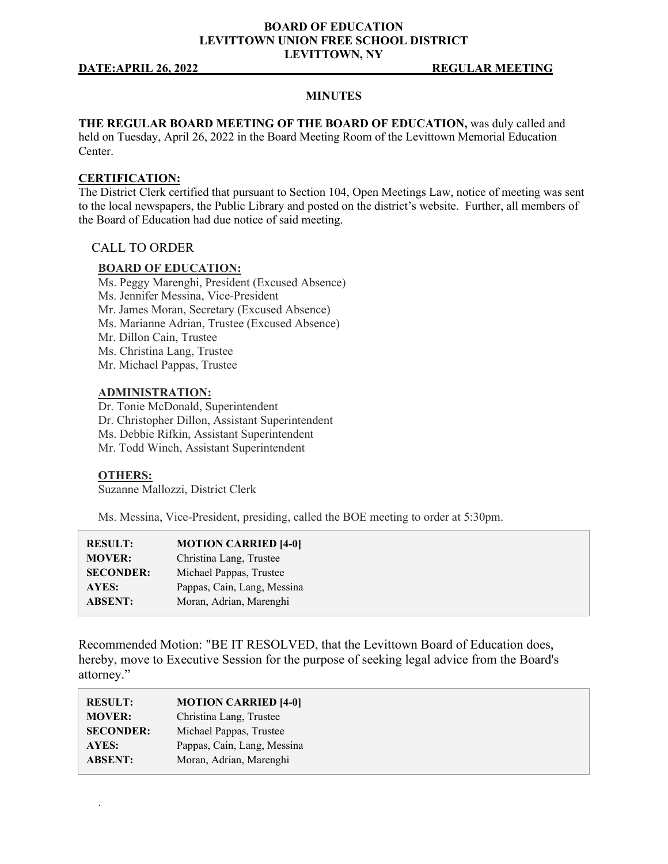### **BOARD OF EDUCATION LEVITTOWN UNION FREE SCHOOL DISTRICT LEVITTOWN, NY**

#### **DATE:APRIL 26, 2022 REGULAR MEETING**

#### **MINUTES**

**THE REGULAR BOARD MEETING OF THE BOARD OF EDUCATION,** was duly called and held on Tuesday, April 26, 2022 in the Board Meeting Room of the Levittown Memorial Education

#### **CERTIFICATION:**

Center.

The District Clerk certified that pursuant to Section 104, Open Meetings Law, notice of meeting was sent to the local newspapers, the Public Library and posted on the district's website. Further, all members of the Board of Education had due notice of said meeting.

#### CALL TO ORDER

#### **BOARD OF EDUCATION:**

Ms. Peggy Marenghi, President (Excused Absence) Ms. Jennifer Messina, Vice-President Mr. James Moran, Secretary (Excused Absence) Ms. Marianne Adrian, Trustee (Excused Absence) Mr. Dillon Cain, Trustee Ms. Christina Lang, Trustee Mr. Michael Pappas, Trustee

#### **ADMINISTRATION:**

Dr. Tonie McDonald, Superintendent Dr. Christopher Dillon, Assistant Superintendent Ms. Debbie Rifkin, Assistant Superintendent Mr. Todd Winch, Assistant Superintendent

#### **OTHERS:**

.

Suzanne Mallozzi, District Clerk

Ms. Messina, Vice-President, presiding, called the BOE meeting to order at 5:30pm.

| <b>RESULT:</b>   | <b>MOTION CARRIED [4-0]</b> |
|------------------|-----------------------------|
| <b>MOVER:</b>    | Christina Lang, Trustee     |
| <b>SECONDER:</b> | Michael Pappas, Trustee     |
| AYES:            | Pappas, Cain, Lang, Messina |
| <b>ABSENT:</b>   | Moran, Adrian, Marenghi     |

Recommended Motion: "BE IT RESOLVED, that the Levittown Board of Education does, hereby, move to Executive Session for the purpose of seeking legal advice from the Board's attorney."

| <b>RESULT:</b>   | <b>MOTION CARRIED [4-0]</b> |
|------------------|-----------------------------|
| <b>MOVER:</b>    | Christina Lang, Trustee     |
| <b>SECONDER:</b> | Michael Pappas, Trustee     |
| AYES:            | Pappas, Cain, Lang, Messina |
| <b>ABSENT:</b>   | Moran, Adrian, Marenghi     |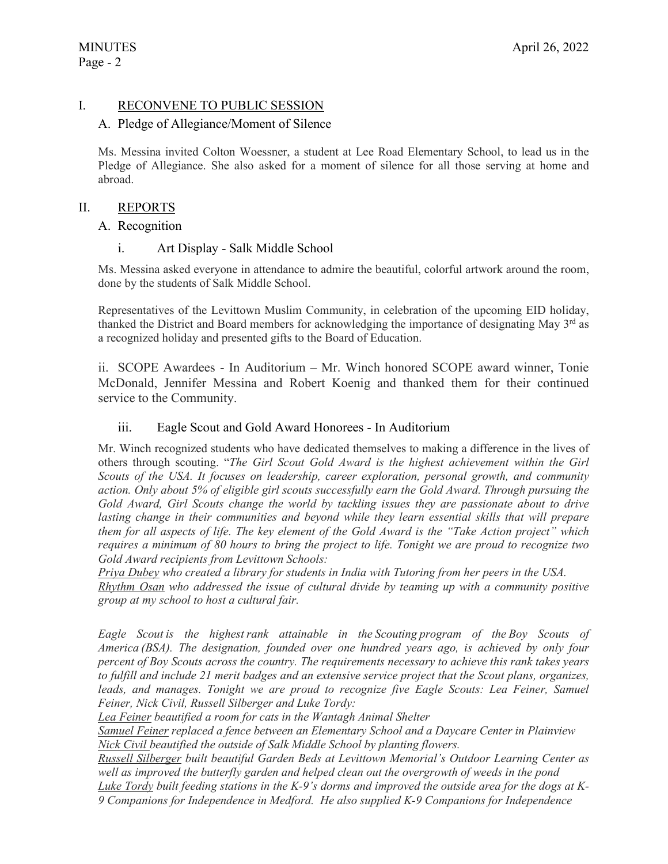# I. RECONVENE TO PUBLIC SESSION

### A. Pledge of Allegiance/Moment of Silence

Ms. Messina invited Colton Woessner, a student at Lee Road Elementary School, to lead us in the Pledge of Allegiance. She also asked for a moment of silence for all those serving at home and abroad.

### II. REPORTS

### A. Recognition

### i. Art Display - Salk Middle School

Ms. Messina asked everyone in attendance to admire the beautiful, colorful artwork around the room, done by the students of Salk Middle School.

Representatives of the Levittown Muslim Community, in celebration of the upcoming EID holiday, thanked the District and Board members for acknowledging the importance of designating May 3<sup>rd</sup> as a recognized holiday and presented gifts to the Board of Education.

ii. SCOPE Awardees - In Auditorium – Mr. Winch honored SCOPE award winner, Tonie McDonald, Jennifer Messina and Robert Koenig and thanked them for their continued service to the Community.

### iii. Eagle Scout and Gold Award Honorees - In Auditorium

Mr. Winch recognized students who have dedicated themselves to making a difference in the lives of others through scouting. "*The Girl Scout Gold Award is the highest achievement within the Girl Scouts of the USA. It focuses on leadership, career exploration, personal growth, and community action. Only about 5% of eligible girl scouts successfully earn the Gold Award. Through pursuing the Gold Award, Girl Scouts change the world by tackling issues they are passionate about to drive*  lasting change in their communities and beyond while they learn essential skills that will prepare *them for all aspects of life. The key element of the Gold Award is the "Take Action project" which requires a minimum of 80 hours to bring the project to life. Tonight we are proud to recognize two Gold Award recipients from Levittown Schools:* 

*Priya Dubey who created a library for students in India with Tutoring from her peers in the USA. Rhythm Osan who addressed the issue of cultural divide by teaming up with a community positive group at my school to host a cultural fair.*

*Eagle Scout is the highest rank attainable in the Scouting program of the Boy Scouts of America (BSA). The designation, founded over one hundred years ago, is achieved by only four percent of Boy Scouts across the country. The requirements necessary to achieve this rank takes years to fulfill and include 21 merit badges and an extensive service project that the Scout plans, organizes,*  leads, and manages. Tonight we are proud to recognize five Eagle Scouts: Lea Feiner, Samuel *Feiner, Nick Civil, Russell Silberger and Luke Tordy:*

*Lea Feiner beautified a room for cats in the Wantagh Animal Shelter*

*Samuel Feiner replaced a fence between an Elementary School and a Daycare Center in Plainview Nick Civil beautified the outside of Salk Middle School by planting flowers.*

*Russell Silberger built beautiful Garden Beds at Levittown Memorial's Outdoor Learning Center as well as improved the butterfly garden and helped clean out the overgrowth of weeds in the pond*

Luke Tordy built feeding stations in the K-9's dorms and improved the outside area for the dogs at K-*9 Companions for Independence in Medford. He also supplied K-9 Companions for Independence*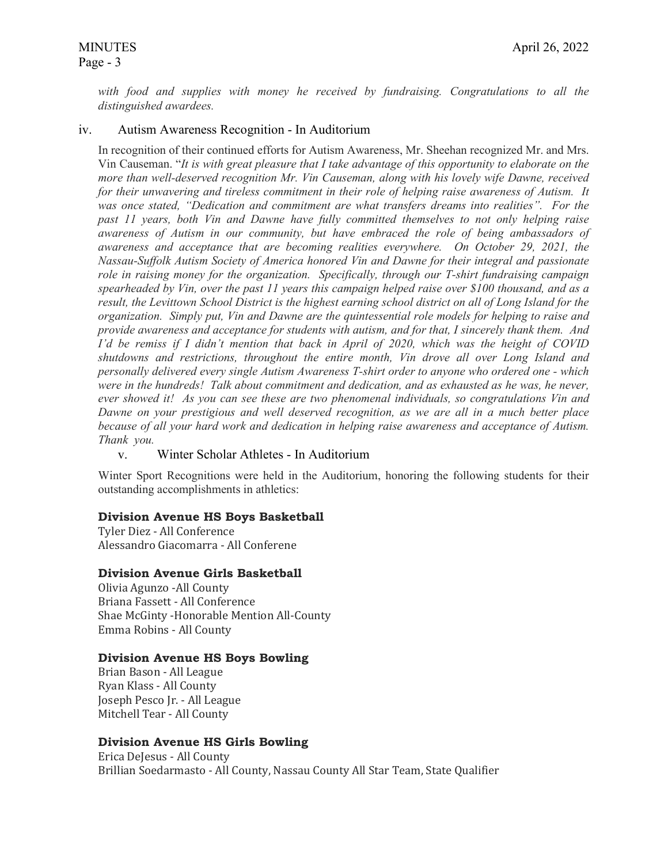# Page - 3

*with food and supplies with money he received by fundraising. Congratulations to all the distinguished awardees.*

### iv. Autism Awareness Recognition - In Auditorium

In recognition of their continued efforts for Autism Awareness, Mr. Sheehan recognized Mr. and Mrs. Vin Causeman. "*It is with great pleasure that I take advantage of this opportunity to elaborate on the more than well-deserved recognition Mr. Vin Causeman, along with his lovely wife Dawne, received for their unwavering and tireless commitment in their role of helping raise awareness of Autism. It was once stated, "Dedication and commitment are what transfers dreams into realities". For the past 11 years, both Vin and Dawne have fully committed themselves to not only helping raise awareness of Autism in our community, but have embraced the role of being ambassadors of awareness and acceptance that are becoming realities everywhere. On October 29, 2021, the Nassau-Suffolk Autism Society of America honored Vin and Dawne for their integral and passionate role in raising money for the organization. Specifically, through our T-shirt fundraising campaign spearheaded by Vin, over the past 11 years this campaign helped raise over \$100 thousand, and as a result, the Levittown School District is the highest earning school district on all of Long Island for the organization. Simply put, Vin and Dawne are the quintessential role models for helping to raise and provide awareness and acceptance for students with autism, and for that, I sincerely thank them. And I'd be remiss if I didn't mention that back in April of 2020, which was the height of COVID shutdowns and restrictions, throughout the entire month, Vin drove all over Long Island and personally delivered every single Autism Awareness T-shirt order to anyone who ordered one - which were in the hundreds! Talk about commitment and dedication, and as exhausted as he was, he never, ever showed it! As you can see these are two phenomenal individuals, so congratulations Vin and Dawne on your prestigious and well deserved recognition, as we are all in a much better place because of all your hard work and dedication in helping raise awareness and acceptance of Autism. Thank you.*

# v. Winter Scholar Athletes - In Auditorium

Winter Sport Recognitions were held in the Auditorium, honoring the following students for their outstanding accomplishments in athletics:

#### **Division Avenue HS Boys Basketball**

Tyler Diez - All Conference Alessandro Giacomarra - All Conferene

#### **Division Avenue Girls Basketball**

Olivia Agunzo -All County Briana Fassett - All Conference Shae McGinty -Honorable Mention All-County Emma Robins - All County

#### **Division Avenue HS Boys Bowling**

Brian Bason - All League Ryan Klass - All County Joseph Pesco Jr. - All League Mitchell Tear - All County

# **Division Avenue HS Girls Bowling**

Erica DeJesus - All County Brillian Soedarmasto - All County, Nassau County All Star Team, State Qualifier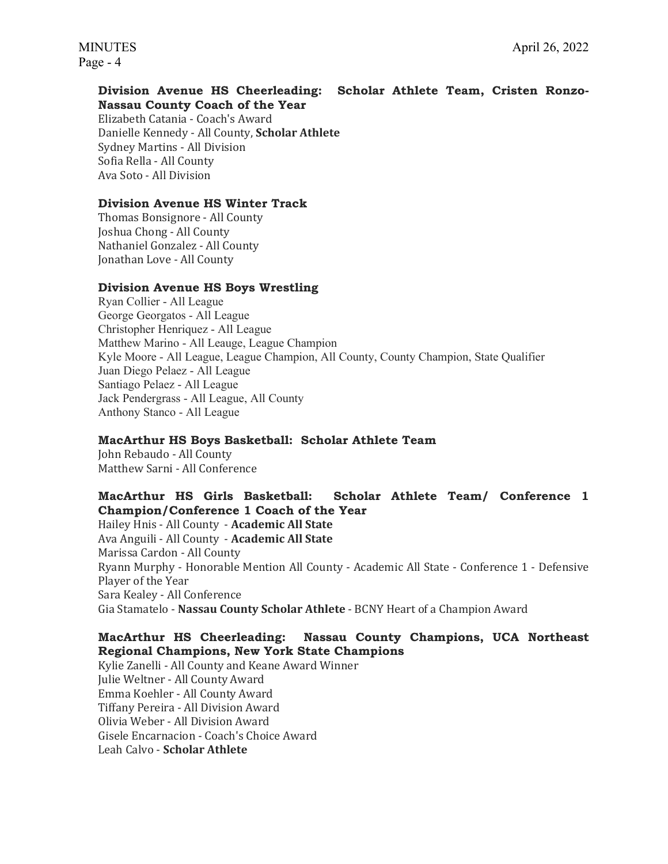#### **Division Avenue HS Cheerleading: Scholar Athlete Team, Cristen Ronzo-Nassau County Coach of the Year**

Elizabeth Catania - Coach's Award Danielle Kennedy - All County, **Scholar Athlete** Sydney Martins - All Division Sofia Rella - All County Ava Soto - All Division

# **Division Avenue HS Winter Track**

Thomas Bonsignore - All County Joshua Chong - All County Nathaniel Gonzalez - All County Jonathan Love - All County

### **Division Avenue HS Boys Wrestling**

Ryan Collier - All League George Georgatos - All League Christopher Henriquez - All League Matthew Marino - All Leauge, League Champion Kyle Moore - All League, League Champion, All County, County Champion, State Qualifier Juan Diego Pelaez - All League Santiago Pelaez - All League Jack Pendergrass - All League, All County Anthony Stanco - All League

# **MacArthur HS Boys Basketball: Scholar Athlete Team**

John Rebaudo - All County Matthew Sarni - All Conference

# **MacArthur HS Girls Basketball: Scholar Athlete Team/ Conference 1 Champion/Conference 1 Coach of the Year**

Hailey Hnis - All County - **Academic All State**  Ava Anguili - All County - **Academic All State**  Marissa Cardon - All County Ryann Murphy - Honorable Mention All County - Academic All State - Conference 1 - Defensive Player of the Year Sara Kealey - All Conference Gia Stamatelo - **Nassau County Scholar Athlete** - BCNY Heart of a Champion Award

# **MacArthur HS Cheerleading: Nassau County Champions, UCA Northeast Regional Champions, New York State Champions**

Kylie Zanelli - All County and Keane Award Winner Julie Weltner - All County Award Emma Koehler - All County Award Tiffany Pereira - All Division Award Olivia Weber - All Division Award Gisele Encarnacion - Coach's Choice Award Leah Calvo - **Scholar Athlete**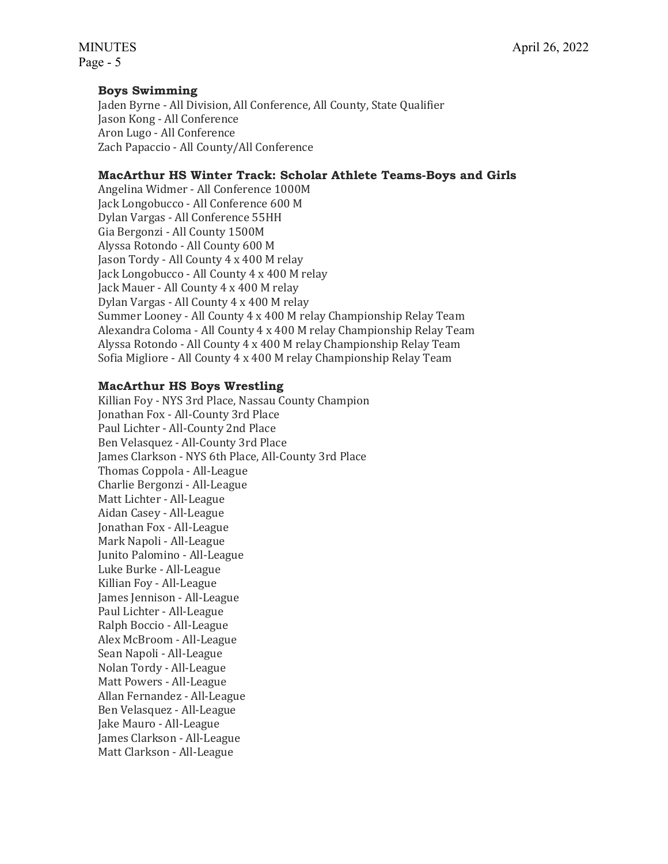### **Boys Swimming**

Jaden Byrne - All Division, All Conference, All County, State Qualifier Jason Kong - All Conference Aron Lugo - All Conference Zach Papaccio - All County/All Conference

### **MacArthur HS Winter Track: Scholar Athlete Teams-Boys and Girls**

Angelina Widmer - All Conference 1000M Jack Longobucco - All Conference 600 M Dylan Vargas - All Conference 55HH Gia Bergonzi - All County 1500M Alyssa Rotondo - All County 600 M Jason Tordy - All County 4 x 400 M relay Jack Longobucco - All County 4 x 400 M relay Jack Mauer - All County 4 x 400 M relay Dylan Vargas - All County 4 x 400 M relay Summer Looney - All County 4 x 400 M relay Championship Relay Team Alexandra Coloma - All County 4 x 400 M relay Championship Relay Team Alyssa Rotondo - All County 4 x 400 M relay Championship Relay Team Sofia Migliore - All County 4 x 400 M relay Championship Relay Team

### **MacArthur HS Boys Wrestling**

Killian Foy - NYS 3rd Place, Nassau County Champion Jonathan Fox - All-County 3rd Place Paul Lichter - All-County 2nd Place Ben Velasquez - All-County 3rd Place James Clarkson - NYS 6th Place, All-County 3rd Place Thomas Coppola - All-League Charlie Bergonzi - All-League Matt Lichter - All-League Aidan Casey - All-League Jonathan Fox - All-League Mark Napoli - All-League Junito Palomino - All-League Luke Burke - All-League Killian Foy - All-League James Jennison - All-League Paul Lichter - All-League Ralph Boccio - All-League Alex McBroom - All-League Sean Napoli - All-League Nolan Tordy - All-League Matt Powers - All-League Allan Fernandez - All-League Ben Velasquez - All-League Jake Mauro - All-League James Clarkson - All-League Matt Clarkson - All-League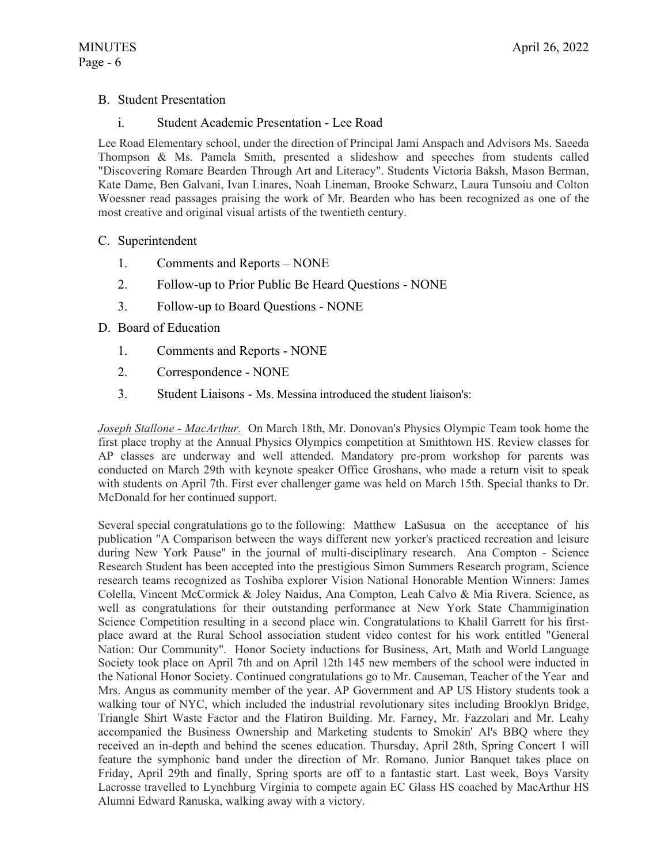# B. Student Presentation

### i. Student Academic Presentation - Lee Road

Lee Road Elementary school, under the direction of Principal Jami Anspach and Advisors Ms. Saeeda Thompson & Ms. Pamela Smith, presented a slideshow and speeches from students called "Discovering Romare Bearden Through Art and Literacy". Students Victoria Baksh, Mason Berman, Kate Dame, Ben Galvani, Ivan Linares, Noah Lineman, Brooke Schwarz, Laura Tunsoiu and Colton Woessner read passages praising the work of Mr. Bearden who has been recognized as one of the most creative and original visual artists of the twentieth century.

### C. Superintendent

- 1. Comments and Reports NONE
- 2. Follow-up to Prior Public Be Heard Questions NONE
- 3. Follow-up to Board Questions NONE

### D. Board of Education

- 1. Comments and Reports NONE
- 2. Correspondence NONE
- 3. Student Liaisons Ms. Messina introduced the student liaison's:

*Joseph Stallone - MacArthur.* On March 18th, Mr. Donovan's Physics Olympic Team took home the first place trophy at the Annual Physics Olympics competition at Smithtown HS. Review classes for AP classes are underway and well attended. Mandatory pre-prom workshop for parents was conducted on March 29th with keynote speaker Office Groshans, who made a return visit to speak with students on April 7th. First ever challenger game was held on March 15th. Special thanks to Dr. McDonald for her continued support.

Several special congratulations go to the following: Matthew LaSusua on the acceptance of his publication "A Comparison between the ways different new yorker's practiced recreation and leisure during New York Pause" in the journal of multi-disciplinary research. Ana Compton - Science Research Student has been accepted into the prestigious Simon Summers Research program, Science research teams recognized as Toshiba explorer Vision National Honorable Mention Winners: James Colella, Vincent McCormick & Joley Naidus, Ana Compton, Leah Calvo & Mia Rivera. Science, as well as congratulations for their outstanding performance at New York State Chammigination Science Competition resulting in a second place win. Congratulations to Khalil Garrett for his firstplace award at the Rural School association student video contest for his work entitled "General Nation: Our Community". Honor Society inductions for Business, Art, Math and World Language Society took place on April 7th and on April 12th 145 new members of the school were inducted in the National Honor Society. Continued congratulations go to Mr. Causeman, Teacher of the Year and Mrs. Angus as community member of the year. AP Government and AP US History students took a walking tour of NYC, which included the industrial revolutionary sites including Brooklyn Bridge, Triangle Shirt Waste Factor and the Flatiron Building. Mr. Farney, Mr. Fazzolari and Mr. Leahy accompanied the Business Ownership and Marketing students to Smokin' Al's BBQ where they received an in-depth and behind the scenes education. Thursday, April 28th, Spring Concert 1 will feature the symphonic band under the direction of Mr. Romano. Junior Banquet takes place on Friday, April 29th and finally, Spring sports are off to a fantastic start. Last week, Boys Varsity Lacrosse travelled to Lynchburg Virginia to compete again EC Glass HS coached by MacArthur HS Alumni Edward Ranuska, walking away with a victory.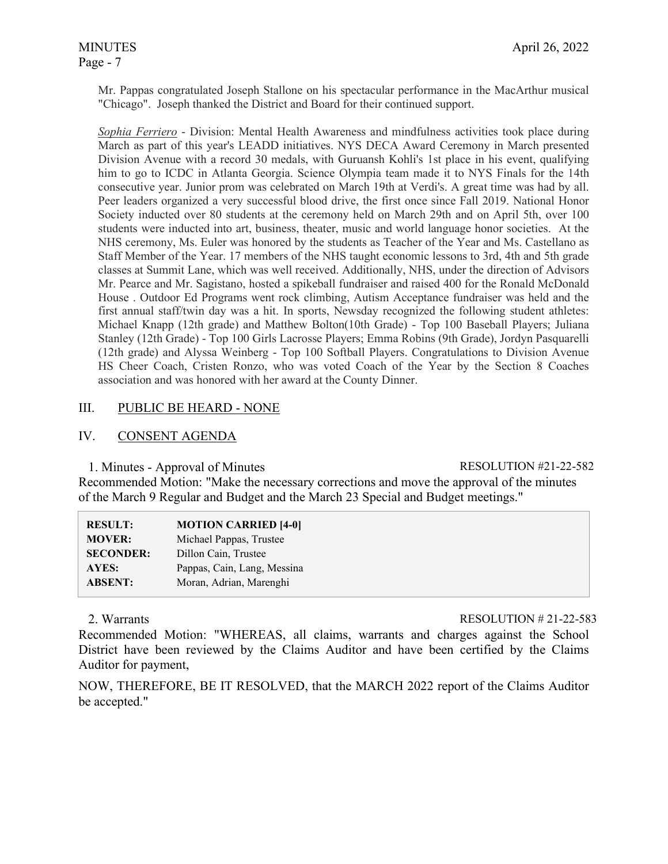Mr. Pappas congratulated Joseph Stallone on his spectacular performance in the MacArthur musical "Chicago". Joseph thanked the District and Board for their continued support.

*Sophia Ferriero* - Division: Mental Health Awareness and mindfulness activities took place during March as part of this year's LEADD initiatives. NYS DECA Award Ceremony in March presented Division Avenue with a record 30 medals, with Guruansh Kohli's 1st place in his event, qualifying him to go to ICDC in Atlanta Georgia. Science Olympia team made it to NYS Finals for the 14th consecutive year. Junior prom was celebrated on March 19th at Verdi's. A great time was had by all. Peer leaders organized a very successful blood drive, the first once since Fall 2019. National Honor Society inducted over 80 students at the ceremony held on March 29th and on April 5th, over 100 students were inducted into art, business, theater, music and world language honor societies. At the NHS ceremony, Ms. Euler was honored by the students as Teacher of the Year and Ms. Castellano as Staff Member of the Year. 17 members of the NHS taught economic lessons to 3rd, 4th and 5th grade classes at Summit Lane, which was well received. Additionally, NHS, under the direction of Advisors Mr. Pearce and Mr. Sagistano, hosted a spikeball fundraiser and raised 400 for the Ronald McDonald House . Outdoor Ed Programs went rock climbing, Autism Acceptance fundraiser was held and the first annual staff/twin day was a hit. In sports, Newsday recognized the following student athletes: Michael Knapp (12th grade) and Matthew Bolton(10th Grade) - Top 100 Baseball Players; Juliana Stanley (12th Grade) - Top 100 Girls Lacrosse Players; Emma Robins (9th Grade), Jordyn Pasquarelli (12th grade) and Alyssa Weinberg - Top 100 Softball Players. Congratulations to Division Avenue HS Cheer Coach, Cristen Ronzo, who was voted Coach of the Year by the Section 8 Coaches association and was honored with her award at the County Dinner.

# III. PUBLIC BE HEARD - NONE

### IV. CONSENT AGENDA

#### 1. Minutes - Approval of Minutes RESOLUTION #21-22-582

Recommended Motion: "Make the necessary corrections and move the approval of the minutes of the March 9 Regular and Budget and the March 23 Special and Budget meetings."

| <b>RESULT:</b>   | <b>MOTION CARRIED [4-0]</b> |
|------------------|-----------------------------|
| <b>MOVER:</b>    | Michael Pappas, Trustee     |
| <b>SECONDER:</b> | Dillon Cain, Trustee        |
| <b>AYES:</b>     | Pappas, Cain, Lang, Messina |
| <b>ABSENT:</b>   | Moran, Adrian, Marenghi     |

#### 2. Warrants RESOLUTION # 21-22-583

Recommended Motion: "WHEREAS, all claims, warrants and charges against the School District have been reviewed by the Claims Auditor and have been certified by the Claims Auditor for payment,

NOW, THEREFORE, BE IT RESOLVED, that the MARCH 2022 report of the Claims Auditor be accepted."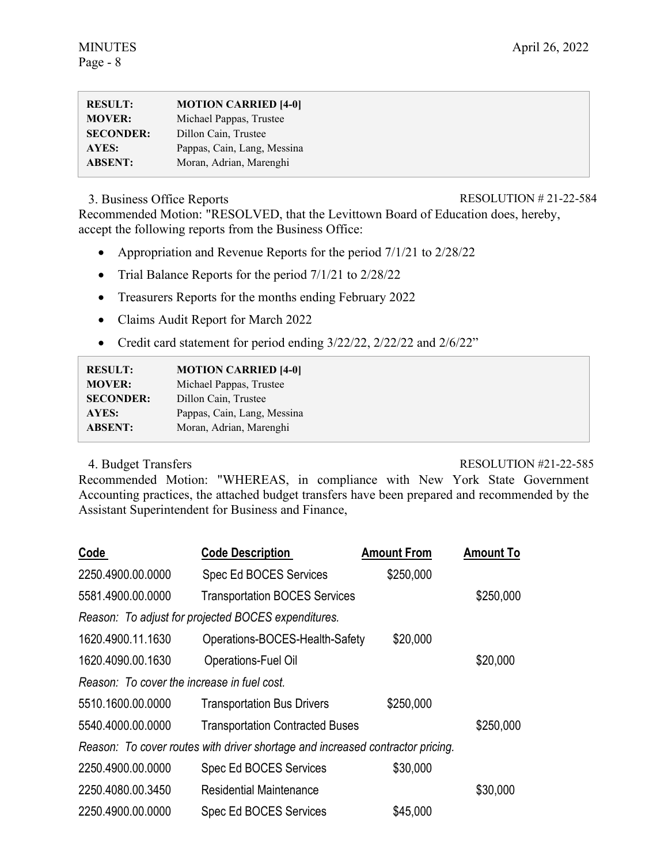| <b>RESULT:</b>   | <b>MOTION CARRIED [4-0]</b> |
|------------------|-----------------------------|
| <b>MOVER:</b>    | Michael Pappas, Trustee     |
| <b>SECONDER:</b> | Dillon Cain, Trustee        |
| AYES:            | Pappas, Cain, Lang, Messina |
| <b>ABSENT:</b>   | Moran, Adrian, Marenghi     |

# 3. Business Office Reports RESOLUTION # 21-22-584

Recommended Motion: "RESOLVED, that the Levittown Board of Education does, hereby, accept the following reports from the Business Office:

- Appropriation and Revenue Reports for the period  $7/1/21$  to  $2/28/22$
- Trial Balance Reports for the period 7/1/21 to 2/28/22
- Treasurers Reports for the months ending February 2022
- Claims Audit Report for March 2022
- Credit card statement for period ending  $3/22/22$ ,  $2/22/22$  and  $2/6/22$ "

| <b>RESULT:</b>   | <b>MOTION CARRIED [4-0]</b> |
|------------------|-----------------------------|
| <b>MOVER:</b>    | Michael Pappas, Trustee     |
| <b>SECONDER:</b> | Dillon Cain, Trustee        |
| <b>AYES:</b>     | Pappas, Cain, Lang, Messina |
| <b>ABSENT:</b>   | Moran, Adrian, Marenghi     |

# 4. Budget Transfers RESOLUTION #21-22-585

Recommended Motion: "WHEREAS, in compliance with New York State Government Accounting practices, the attached budget transfers have been prepared and recommended by the Assistant Superintendent for Business and Finance,

| Code                                        | <b>Code Description</b>                                                        | <b>Amount From</b> | <b>Amount To</b> |
|---------------------------------------------|--------------------------------------------------------------------------------|--------------------|------------------|
| 2250.4900.00.0000                           | Spec Ed BOCES Services                                                         | \$250,000          |                  |
| 5581.4900.00.0000                           | <b>Transportation BOCES Services</b>                                           |                    | \$250,000        |
|                                             | Reason: To adjust for projected BOCES expenditures.                            |                    |                  |
| 1620.4900.11.1630                           | Operations-BOCES-Health-Safety                                                 | \$20,000           |                  |
| 1620.4090.00.1630                           | Operations-Fuel Oil                                                            |                    | \$20,000         |
| Reason: To cover the increase in fuel cost. |                                                                                |                    |                  |
| 5510.1600.00.0000                           | <b>Transportation Bus Drivers</b>                                              | \$250,000          |                  |
| 5540.4000.00.0000                           | <b>Transportation Contracted Buses</b>                                         |                    | \$250,000        |
|                                             | Reason: To cover routes with driver shortage and increased contractor pricing. |                    |                  |
| 2250.4900.00.0000                           | Spec Ed BOCES Services                                                         | \$30,000           |                  |
| 2250.4080.00.3450                           | <b>Residential Maintenance</b>                                                 |                    | \$30,000         |
| 2250.4900.00.0000                           | <b>Spec Ed BOCES Services</b>                                                  | \$45,000           |                  |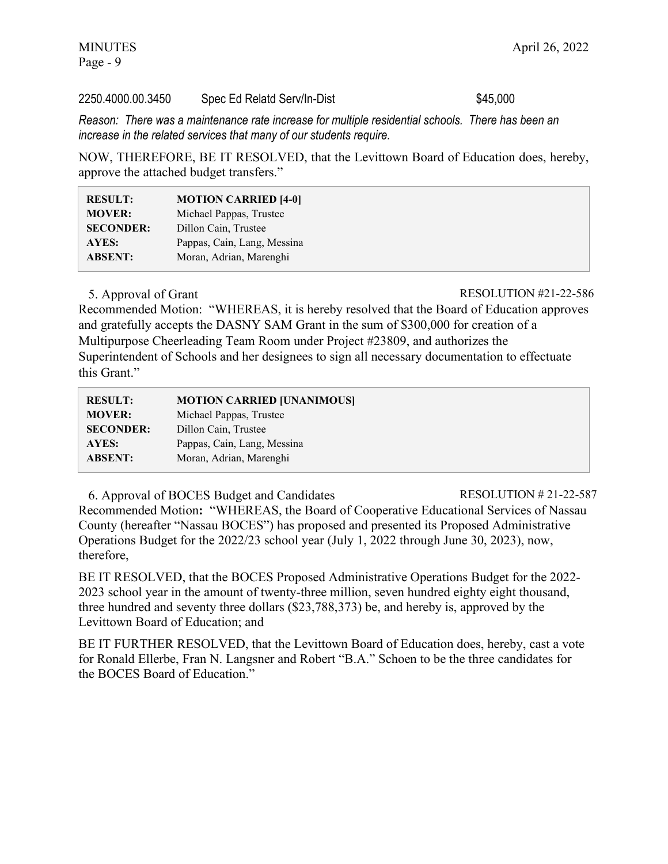Page - 9

#### 2250.4000.00.3450 Spec Ed Relatd Serv/In-Dist \$45,000

*Reason: There was a maintenance rate increase for multiple residential schools. There has been an increase in the related services that many of our students require.* 

NOW, THEREFORE, BE IT RESOLVED, that the Levittown Board of Education does, hereby, approve the attached budget transfers."

| <b>RESULT:</b>   | <b>MOTION CARRIED [4-0]</b> |
|------------------|-----------------------------|
| <b>MOVER:</b>    | Michael Pappas, Trustee     |
| <b>SECONDER:</b> | Dillon Cain, Trustee        |
| <b>AYES:</b>     | Pappas, Cain, Lang, Messina |
| <b>ABSENT:</b>   | Moran, Adrian, Marenghi     |
|                  |                             |

#### 5. Approval of Grant RESOLUTION #21-22-586

Recommended Motion: "WHEREAS, it is hereby resolved that the Board of Education approves and gratefully accepts the DASNY SAM Grant in the sum of \$300,000 for creation of a Multipurpose Cheerleading Team Room under Project #23809, and authorizes the Superintendent of Schools and her designees to sign all necessary documentation to effectuate this Grant."

| <b>MOTION CARRIED [UNANIMOUS]</b> |
|-----------------------------------|
| Michael Pappas, Trustee           |
| Dillon Cain, Trustee              |
| Pappas, Cain, Lang, Messina       |
| Moran, Adrian, Marenghi           |
|                                   |

6. Approval of BOCES Budget and Candidates RESOLUTION # 21-22-587 Recommended Motion**:** "WHEREAS, the Board of Cooperative Educational Services of Nassau County (hereafter "Nassau BOCES") has proposed and presented its Proposed Administrative Operations Budget for the 2022/23 school year (July 1, 2022 through June 30, 2023), now, therefore,

BE IT RESOLVED, that the BOCES Proposed Administrative Operations Budget for the 2022- 2023 school year in the amount of twenty-three million, seven hundred eighty eight thousand, three hundred and seventy three dollars (\$23,788,373) be, and hereby is, approved by the Levittown Board of Education; and

BE IT FURTHER RESOLVED, that the Levittown Board of Education does, hereby, cast a vote for Ronald Ellerbe, Fran N. Langsner and Robert "B.A." Schoen to be the three candidates for the BOCES Board of Education."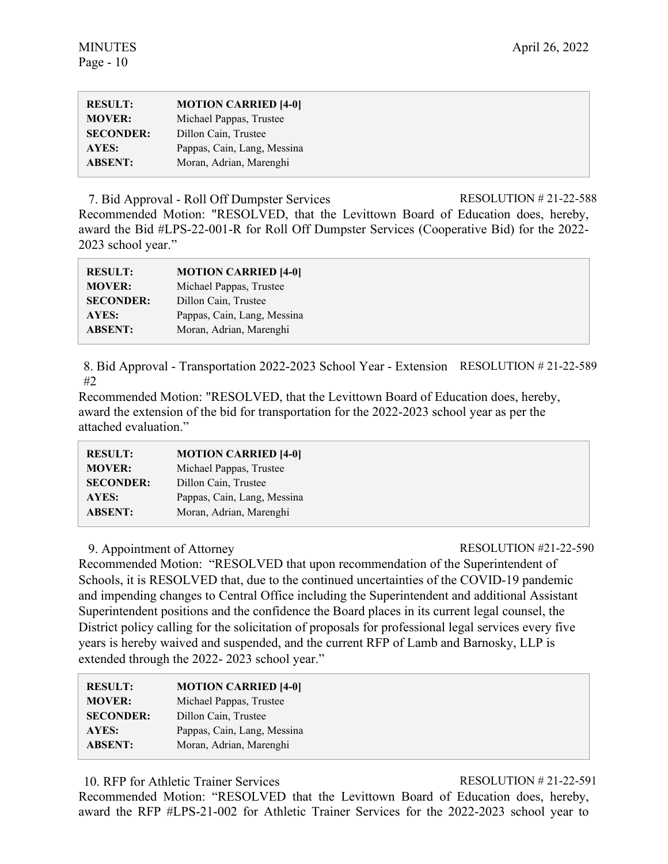| <b>RESULT:</b>   | <b>MOTION CARRIED [4-0]</b> |
|------------------|-----------------------------|
| <b>MOVER:</b>    | Michael Pappas, Trustee     |
| <b>SECONDER:</b> | Dillon Cain, Trustee        |
| AYES:            | Pappas, Cain, Lang, Messina |
| <b>ABSENT:</b>   | Moran, Adrian, Marenghi     |

7. Bid Approval - Roll Off Dumpster Services RESOLUTION # 21-22-588 Recommended Motion: "RESOLVED, that the Levittown Board of Education does, hereby, award the Bid #LPS-22-001-R for Roll Off Dumpster Services (Cooperative Bid) for the 2022- 2023 school year."

| <b>RESULT:</b>   | <b>MOTION CARRIED [4-0]</b> |
|------------------|-----------------------------|
| <b>MOVER:</b>    | Michael Pappas, Trustee     |
| <b>SECONDER:</b> | Dillon Cain, Trustee        |
| AYES:            | Pappas, Cain, Lang, Messina |
| <b>ABSENT:</b>   | Moran, Adrian, Marenghi     |

8. Bid Approval - Transportation 2022-2023 School Year - Extension RESOLUTION # 21-22-589 #2

Recommended Motion: "RESOLVED, that the Levittown Board of Education does, hereby, award the extension of the bid for transportation for the 2022-2023 school year as per the attached evaluation."

| <b>RESULT:</b>   | <b>MOTION CARRIED [4-0]</b> |
|------------------|-----------------------------|
| <b>MOVER:</b>    | Michael Pappas, Trustee     |
| <b>SECONDER:</b> | Dillon Cain, Trustee        |
| AYES:            | Pappas, Cain, Lang, Messina |
| <b>ABSENT:</b>   | Moran, Adrian, Marenghi     |

# 9. Appointment of Attorney RESOLUTION #21-22-590

Recommended Motion: "RESOLVED that upon recommendation of the Superintendent of Schools, it is RESOLVED that, due to the continued uncertainties of the COVID-19 pandemic and impending changes to Central Office including the Superintendent and additional Assistant Superintendent positions and the confidence the Board places in its current legal counsel, the District policy calling for the solicitation of proposals for professional legal services every five years is hereby waived and suspended, and the current RFP of Lamb and Barnosky, LLP is extended through the 2022- 2023 school year."

| <b>RESULT:</b>   | <b>MOTION CARRIED [4-0]</b> |
|------------------|-----------------------------|
| <b>MOVER:</b>    | Michael Pappas, Trustee     |
| <b>SECONDER:</b> | Dillon Cain, Trustee        |
| AYES:            | Pappas, Cain, Lang, Messina |
| <b>ABSENT:</b>   | Moran, Adrian, Marenghi     |
|                  |                             |

10. RFP for Athletic Trainer Services RESOLUTION # 21-22-591

Recommended Motion: "RESOLVED that the Levittown Board of Education does, hereby, award the RFP #LPS-21-002 for Athletic Trainer Services for the 2022-2023 school year to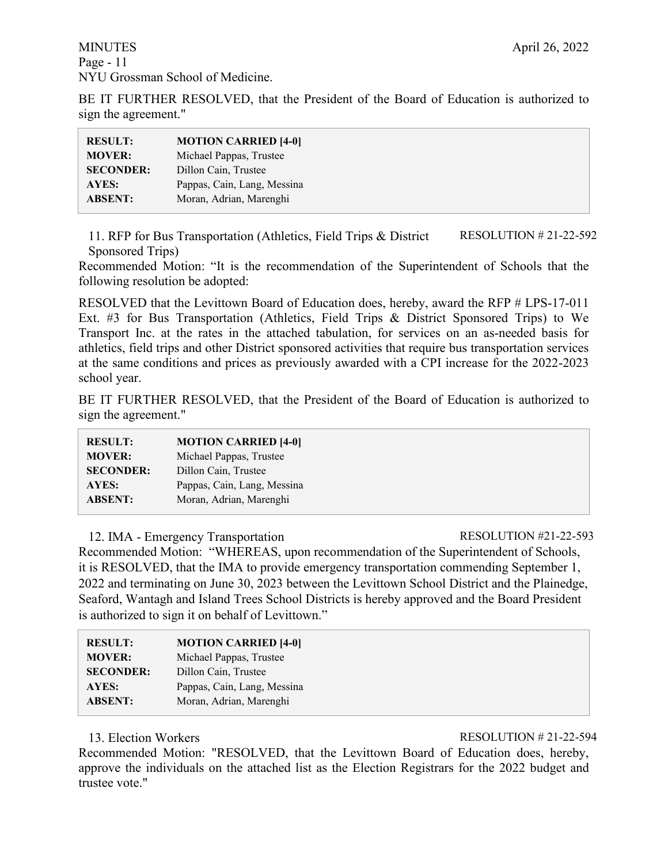BE IT FURTHER RESOLVED, that the President of the Board of Education is authorized to sign the agreement."

| <b>RESULT:</b>   | <b>MOTION CARRIED [4-0]</b> |
|------------------|-----------------------------|
| <b>MOVER:</b>    | Michael Pappas, Trustee     |
| <b>SECONDER:</b> | Dillon Cain, Trustee        |
| AYES:            | Pappas, Cain, Lang, Messina |
| <b>ABSENT:</b>   | Moran, Adrian, Marenghi     |

11. RFP for Bus Transportation (Athletics, Field Trips & District Sponsored Trips) RESOLUTION # 21-22-592

Recommended Motion: "It is the recommendation of the Superintendent of Schools that the following resolution be adopted:

RESOLVED that the Levittown Board of Education does, hereby, award the RFP # LPS-17-011 Ext. #3 for Bus Transportation (Athletics, Field Trips & District Sponsored Trips) to We Transport Inc. at the rates in the attached tabulation, for services on an as-needed basis for athletics, field trips and other District sponsored activities that require bus transportation services at the same conditions and prices as previously awarded with a CPI increase for the 2022-2023 school year.

BE IT FURTHER RESOLVED, that the President of the Board of Education is authorized to sign the agreement."

| <b>RESULT:</b>   | <b>MOTION CARRIED [4-0]</b> |
|------------------|-----------------------------|
| <b>MOVER:</b>    | Michael Pappas, Trustee     |
| <b>SECONDER:</b> | Dillon Cain, Trustee        |
| AYES:            | Pappas, Cain, Lang, Messina |
| <b>ABSENT:</b>   | Moran, Adrian, Marenghi     |
|                  |                             |

12. IMA - Emergency Transportation RESOLUTION #21-22-593

Recommended Motion: "WHEREAS, upon recommendation of the Superintendent of Schools, it is RESOLVED, that the IMA to provide emergency transportation commending September 1, 2022 and terminating on June 30, 2023 between the Levittown School District and the Plainedge, Seaford, Wantagh and Island Trees School Districts is hereby approved and the Board President is authorized to sign it on behalf of Levittown."

| <b>RESULT:</b>   | <b>MOTION CARRIED [4-0]</b> |
|------------------|-----------------------------|
| <b>MOVER:</b>    | Michael Pappas, Trustee     |
| <b>SECONDER:</b> | Dillon Cain, Trustee        |
| AYES:            | Pappas, Cain, Lang, Messina |
| <b>ABSENT:</b>   | Moran, Adrian, Marenghi     |
|                  |                             |

13. Election Workers **RESOLUTION #21-22-594** 

Recommended Motion: "RESOLVED, that the Levittown Board of Education does, hereby, approve the individuals on the attached list as the Election Registrars for the 2022 budget and trustee vote."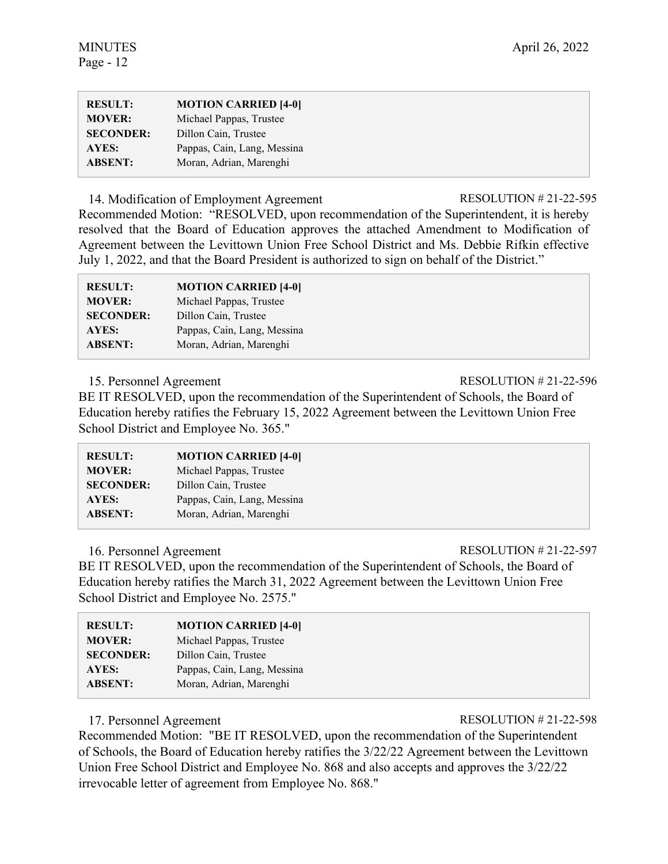| <b>RESULT:</b>   | <b>MOTION CARRIED [4-0]</b> |
|------------------|-----------------------------|
| <b>MOVER:</b>    | Michael Pappas, Trustee     |
| <b>SECONDER:</b> | Dillon Cain, Trustee        |
| AYES:            | Pappas, Cain, Lang, Messina |
| <b>ABSENT:</b>   | Moran, Adrian, Marenghi     |
|                  |                             |

14. Modification of Employment Agreement RESOLUTION # 21-22-595

Recommended Motion: "RESOLVED, upon recommendation of the Superintendent, it is hereby resolved that the Board of Education approves the attached Amendment to Modification of Agreement between the Levittown Union Free School District and Ms. Debbie Rifkin effective July 1, 2022, and that the Board President is authorized to sign on behalf of the District."

| <b>RESULT:</b>   | <b>MOTION CARRIED [4-0]</b> |
|------------------|-----------------------------|
| <b>MOVER:</b>    | Michael Pappas, Trustee     |
| <b>SECONDER:</b> | Dillon Cain, Trustee        |
| AYES:            | Pappas, Cain, Lang, Messina |
| <b>ABSENT:</b>   | Moran, Adrian, Marenghi     |

BE IT RESOLVED, upon the recommendation of the Superintendent of Schools, the Board of Education hereby ratifies the February 15, 2022 Agreement between the Levittown Union Free School District and Employee No. 365."

| <b>RESULT:</b>   | <b>MOTION CARRIED [4-0]</b> |
|------------------|-----------------------------|
| <b>MOVER:</b>    | Michael Pappas, Trustee     |
| <b>SECONDER:</b> | Dillon Cain, Trustee        |
| <b>AYES:</b>     | Pappas, Cain, Lang, Messina |
| <b>ABSENT:</b>   | Moran, Adrian, Marenghi     |

16. Personnel Agreement RESOLUTION # 21-22-597 BE IT RESOLVED, upon the recommendation of the Superintendent of Schools, the Board of Education hereby ratifies the March 31, 2022 Agreement between the Levittown Union Free School District and Employee No. 2575."

| <b>MOTION CARRIED [4-0]</b> |
|-----------------------------|
| Michael Pappas, Trustee     |
| Dillon Cain, Trustee        |
| Pappas, Cain, Lang, Messina |
| Moran, Adrian, Marenghi     |
|                             |

17. Personnel Agreement RESOLUTION # 21-22-598

Recommended Motion: "BE IT RESOLVED, upon the recommendation of the Superintendent of Schools, the Board of Education hereby ratifies the 3/22/22 Agreement between the Levittown Union Free School District and Employee No. 868 and also accepts and approves the 3/22/22 irrevocable letter of agreement from Employee No. 868."

15. Personnel Agreement RESOLUTION # 21-22-596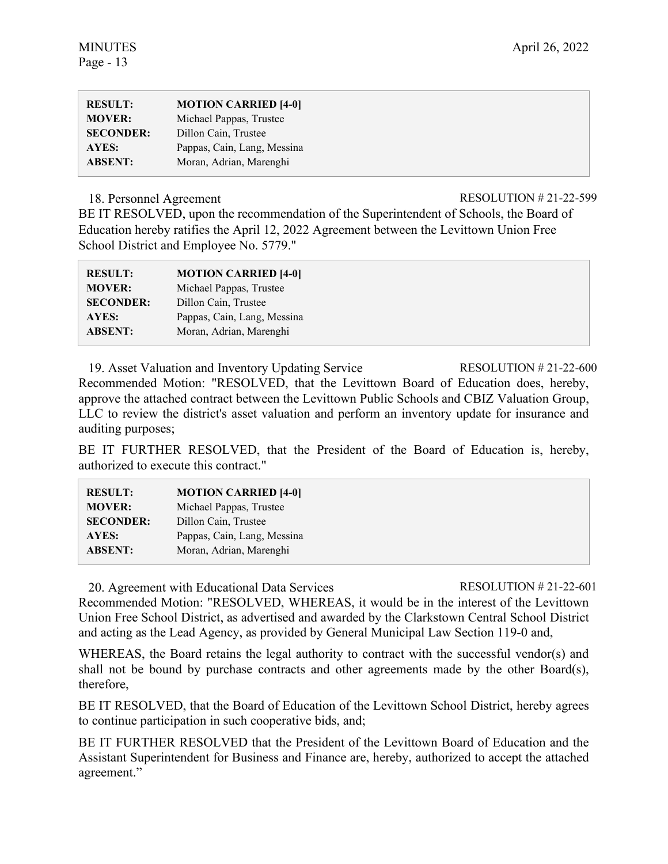| <b>RESULT:</b>   | <b>MOTION CARRIED [4-0]</b> |
|------------------|-----------------------------|
| <b>MOVER:</b>    | Michael Pappas, Trustee     |
| <b>SECONDER:</b> | Dillon Cain, Trustee        |
| AYES:            | Pappas, Cain, Lang, Messina |
| <b>ABSENT:</b>   | Moran, Adrian, Marenghi     |

#### 18. Personnel Agreement RESOLUTION # 21-22-599

BE IT RESOLVED, upon the recommendation of the Superintendent of Schools, the Board of Education hereby ratifies the April 12, 2022 Agreement between the Levittown Union Free School District and Employee No. 5779."

| <b>RESULT:</b>   | <b>MOTION CARRIED [4-0]</b> |
|------------------|-----------------------------|
| <b>MOVER:</b>    | Michael Pappas, Trustee     |
| <b>SECONDER:</b> | Dillon Cain, Trustee        |
| AYES:            | Pappas, Cain, Lang, Messina |
| <b>ABSENT:</b>   | Moran, Adrian, Marenghi     |

19. Asset Valuation and Inventory Updating Service RESOLUTION # 21-22-600 Recommended Motion: "RESOLVED, that the Levittown Board of Education does, hereby, approve the attached contract between the Levittown Public Schools and CBIZ Valuation Group, LLC to review the district's asset valuation and perform an inventory update for insurance and auditing purposes;

BE IT FURTHER RESOLVED, that the President of the Board of Education is, hereby, authorized to execute this contract."

| <b>RESULT:</b>   | <b>MOTION CARRIED [4-0]</b> |
|------------------|-----------------------------|
| <b>MOVER:</b>    | Michael Pappas, Trustee     |
| <b>SECONDER:</b> | Dillon Cain, Trustee        |
| AYES:            | Pappas, Cain, Lang, Messina |
| <b>ABSENT:</b>   | Moran, Adrian, Marenghi     |
|                  |                             |

20. Agreement with Educational Data Services RESOLUTION # 21-22-601

Recommended Motion: "RESOLVED, WHEREAS, it would be in the interest of the Levittown Union Free School District, as advertised and awarded by the Clarkstown Central School District and acting as the Lead Agency, as provided by General Municipal Law Section 119-0 and,

WHEREAS, the Board retains the legal authority to contract with the successful vendor(s) and shall not be bound by purchase contracts and other agreements made by the other Board(s), therefore,

BE IT RESOLVED, that the Board of Education of the Levittown School District, hereby agrees to continue participation in such cooperative bids, and;

BE IT FURTHER RESOLVED that the President of the Levittown Board of Education and the Assistant Superintendent for Business and Finance are, hereby, authorized to accept the attached agreement."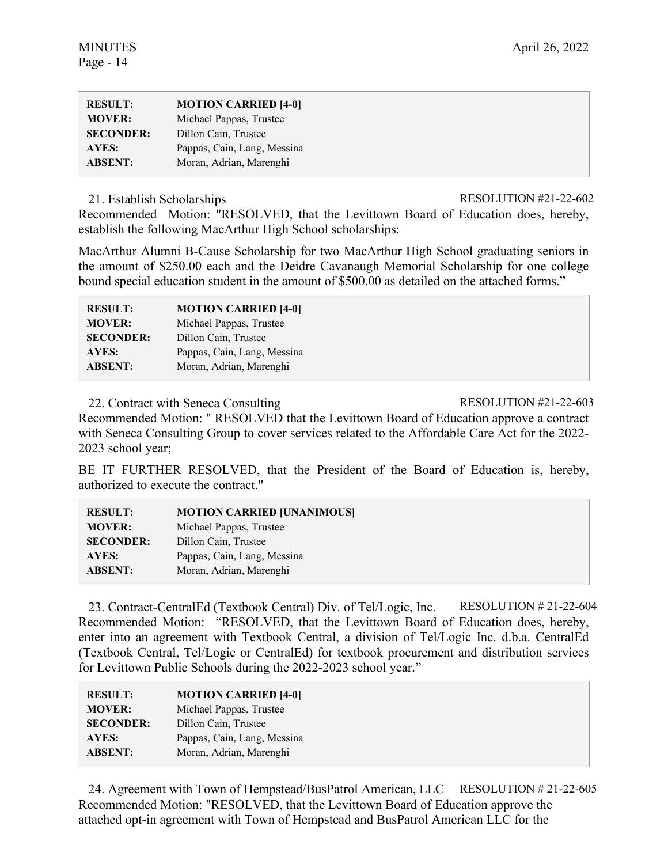| <b>RESULT:</b>   | <b>MOTION CARRIED [4-0]</b> |
|------------------|-----------------------------|
| <b>MOVER:</b>    | Michael Pappas, Trustee     |
| <b>SECONDER:</b> | Dillon Cain, Trustee        |
| AYES:            | Pappas, Cain, Lang, Messina |
| <b>ABSENT:</b>   | Moran, Adrian, Marenghi     |

21. Establish Scholarships RESOLUTION #21-22-602

Recommended Motion: "RESOLVED, that the Levittown Board of Education does, hereby, establish the following MacArthur High School scholarships:

MacArthur Alumni B-Cause Scholarship for two MacArthur High School graduating seniors in the amount of \$250.00 each and the Deidre Cavanaugh Memorial Scholarship for one college bound special education student in the amount of \$500.00 as detailed on the attached forms."

| <b>RESULT:</b>   | <b>MOTION CARRIED [4-0]</b> |
|------------------|-----------------------------|
| <b>MOVER:</b>    | Michael Pappas, Trustee     |
| <b>SECONDER:</b> | Dillon Cain, Trustee        |
| AYES:            | Pappas, Cain, Lang, Messina |
| <b>ABSENT:</b>   | Moran, Adrian, Marenghi     |

22. Contract with Seneca Consulting RESOLUTION #21-22-603

Recommended Motion: " RESOLVED that the Levittown Board of Education approve a contract with Seneca Consulting Group to cover services related to the Affordable Care Act for the 2022- 2023 school year;

BE IT FURTHER RESOLVED, that the President of the Board of Education is, hereby, authorized to execute the contract."

| <b>RESULT:</b>   | <b>MOTION CARRIED [UNANIMOUS]</b> |
|------------------|-----------------------------------|
| <b>MOVER:</b>    | Michael Pappas, Trustee           |
| <b>SECONDER:</b> | Dillon Cain, Trustee              |
| AYES:            | Pappas, Cain, Lang, Messina       |
| <b>ABSENT:</b>   | Moran, Adrian, Marenghi           |

23. Contract-CentralEd (Textbook Central) Div. of Tel/Logic, Inc. RESOLUTION # 21-22-604 Recommended Motion: "RESOLVED, that the Levittown Board of Education does, hereby, enter into an agreement with Textbook Central, a division of Tel/Logic Inc. d.b.a. CentralEd (Textbook Central, Tel/Logic or CentralEd) for textbook procurement and distribution services for Levittown Public Schools during the 2022-2023 school year."

| <b>RESULT:</b>   | <b>MOTION CARRIED [4-0]</b> |
|------------------|-----------------------------|
| <b>MOVER:</b>    | Michael Pappas, Trustee     |
| <b>SECONDER:</b> | Dillon Cain, Trustee        |
| AYES:            | Pappas, Cain, Lang, Messina |
| <b>ABSENT:</b>   | Moran, Adrian, Marenghi     |

24. Agreement with Town of Hempstead/BusPatrol American, LLC RESOLUTION # 21-22-605 Recommended Motion: "RESOLVED, that the Levittown Board of Education approve the attached opt-in agreement with Town of Hempstead and BusPatrol American LLC for the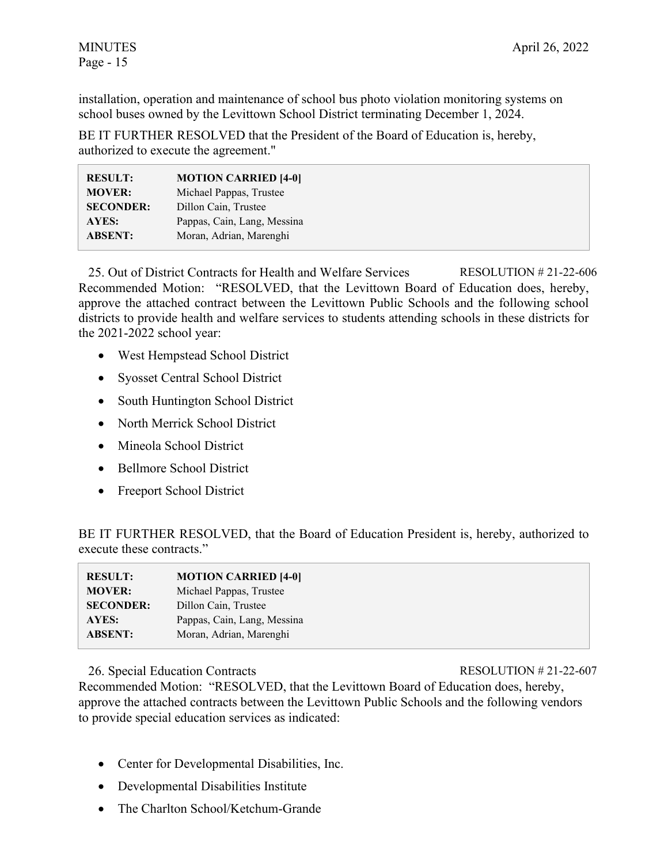installation, operation and maintenance of school bus photo violation monitoring systems on school buses owned by the Levittown School District terminating December 1, 2024.

BE IT FURTHER RESOLVED that the President of the Board of Education is, hereby, authorized to execute the agreement."

| <b>RESULT:</b>   | <b>MOTION CARRIED [4-0]</b> |
|------------------|-----------------------------|
| <b>MOVER:</b>    | Michael Pappas, Trustee     |
| <b>SECONDER:</b> | Dillon Cain, Trustee        |
| AYES:            | Pappas, Cain, Lang, Messina |
| <b>ABSENT:</b>   | Moran, Adrian, Marenghi     |

25. Out of District Contracts for Health and Welfare Services RESOLUTION # 21-22-606 Recommended Motion: "RESOLVED, that the Levittown Board of Education does, hereby, approve the attached contract between the Levittown Public Schools and the following school districts to provide health and welfare services to students attending schools in these districts for the 2021-2022 school year:

- West Hempstead School District
- Syosset Central School District
- South Huntington School District
- North Merrick School District
- Mineola School District
- Bellmore School District
- Freeport School District

BE IT FURTHER RESOLVED, that the Board of Education President is, hereby, authorized to execute these contracts."

| <b>RESULT:</b>   | <b>MOTION CARRIED [4-0]</b> |
|------------------|-----------------------------|
| <b>MOVER:</b>    | Michael Pappas, Trustee     |
| <b>SECONDER:</b> | Dillon Cain, Trustee        |
| AYES:            | Pappas, Cain, Lang, Messina |
| <b>ABSENT:</b>   | Moran, Adrian, Marenghi     |

26. Special Education Contracts RESOLUTION # 21-22-607

Recommended Motion: "RESOLVED, that the Levittown Board of Education does, hereby, approve the attached contracts between the Levittown Public Schools and the following vendors to provide special education services as indicated:

- Center for Developmental Disabilities, Inc.
- Developmental Disabilities Institute
- The Charlton School/Ketchum-Grande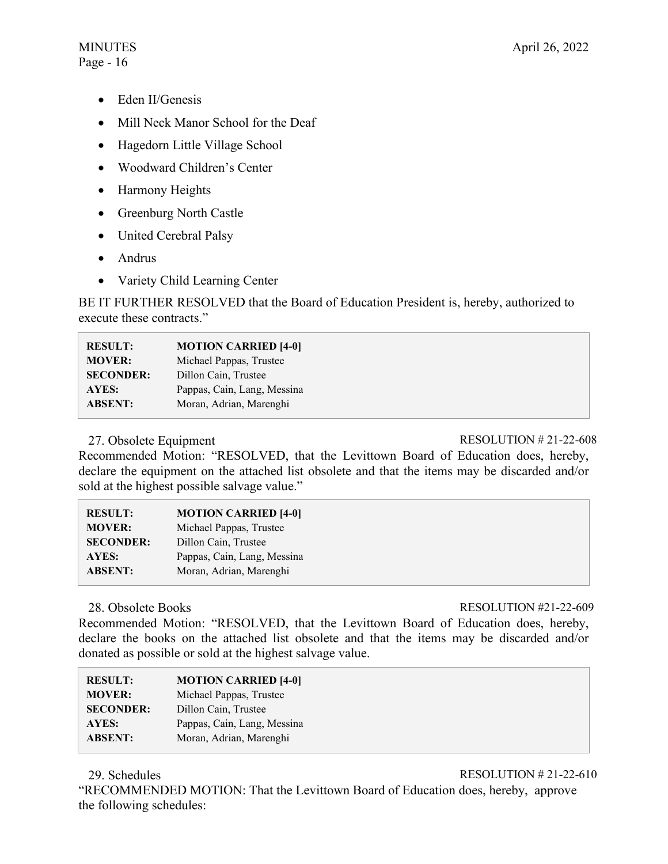# Page - 16

- Eden II/Genesis
- Mill Neck Manor School for the Deaf
- Hagedorn Little Village School
- Woodward Children's Center
- Harmony Heights
- Greenburg North Castle
- United Cerebral Palsy
- Andrus
- Variety Child Learning Center

BE IT FURTHER RESOLVED that the Board of Education President is, hereby, authorized to execute these contracts."

| <b>RESULT:</b>   | <b>MOTION CARRIED [4-0]</b> |
|------------------|-----------------------------|
| <b>MOVER:</b>    | Michael Pappas, Trustee     |
| <b>SECONDER:</b> | Dillon Cain, Trustee        |
| <b>AYES:</b>     | Pappas, Cain, Lang, Messina |
| <b>ABSENT:</b>   | Moran, Adrian, Marenghi     |

# 27. Obsolete Equipment RESOLUTION # 21-22-608

Recommended Motion: "RESOLVED, that the Levittown Board of Education does, hereby, declare the equipment on the attached list obsolete and that the items may be discarded and/or sold at the highest possible salvage value."

| <b>MOTION CARRIED [4-0]</b> |
|-----------------------------|
| Michael Pappas, Trustee     |
| Dillon Cain, Trustee        |
| Pappas, Cain, Lang, Messina |
| Moran, Adrian, Marenghi     |
|                             |

28. Obsolete Books RESOLUTION #21-22-609

Recommended Motion: "RESOLVED, that the Levittown Board of Education does, hereby, declare the books on the attached list obsolete and that the items may be discarded and/or donated as possible or sold at the highest salvage value.

| <b>RESULT:</b>   | <b>MOTION CARRIED [4-0]</b> |
|------------------|-----------------------------|
| <b>MOVER:</b>    | Michael Pappas, Trustee     |
| <b>SECONDER:</b> | Dillon Cain, Trustee        |
| AYES:            | Pappas, Cain, Lang, Messina |
| <b>ABSENT:</b>   | Moran, Adrian, Marenghi     |

29. Schedules RESOLUTION # 21-22-610

"RECOMMENDED MOTION: That the Levittown Board of Education does, hereby, approve the following schedules: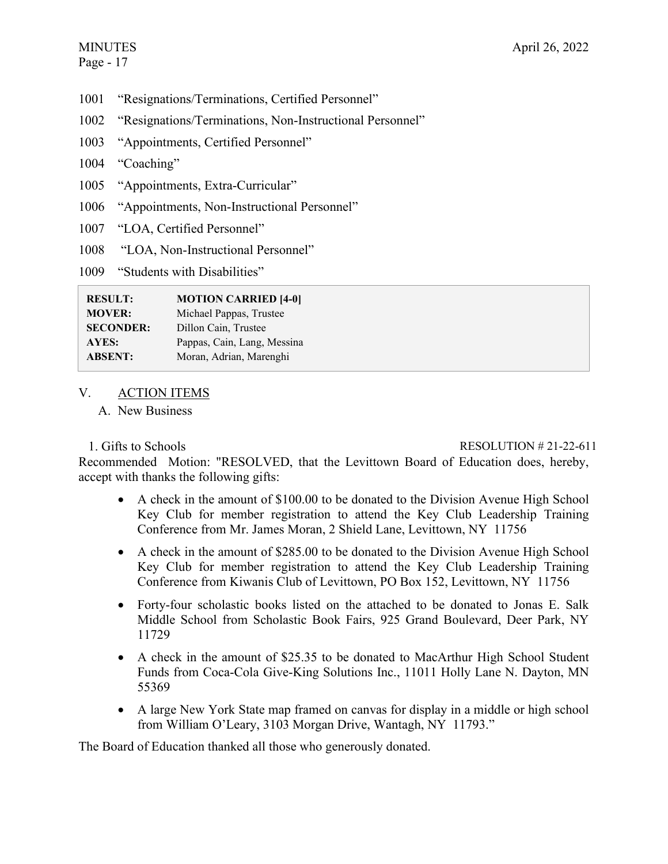- 1001 "Resignations/Terminations, Certified Personnel"
- 1002 "Resignations/Terminations, Non-Instructional Personnel"
- 1003 "Appointments, Certified Personnel"
- 1004 "Coaching"
- 1005 "Appointments, Extra-Curricular"
- 1006 "Appointments, Non-Instructional Personnel"
- 1007 "LOA, Certified Personnel"
- 1008 "LOA, Non-Instructional Personnel"

1009 "Students with Disabilities"

| <b>RESULT:</b>   | <b>MOTION CARRIED [4-0]</b> |
|------------------|-----------------------------|
| <b>MOVER:</b>    | Michael Pappas, Trustee     |
| <b>SECONDER:</b> | Dillon Cain, Trustee        |
| AYES:            | Pappas, Cain, Lang, Messina |
| <b>ABSENT:</b>   | Moran, Adrian, Marenghi     |

# V. ACTION ITEMS

A. New Business

# 1. Gifts to Schools RESOLUTION # 21-22-611

Recommended Motion: "RESOLVED, that the Levittown Board of Education does, hereby, accept with thanks the following gifts:

- A check in the amount of \$100.00 to be donated to the Division Avenue High School Key Club for member registration to attend the Key Club Leadership Training Conference from Mr. James Moran, 2 Shield Lane, Levittown, NY 11756
- A check in the amount of \$285.00 to be donated to the Division Avenue High School Key Club for member registration to attend the Key Club Leadership Training Conference from Kiwanis Club of Levittown, PO Box 152, Levittown, NY 11756
- Forty-four scholastic books listed on the attached to be donated to Jonas E. Salk Middle School from Scholastic Book Fairs, 925 Grand Boulevard, Deer Park, NY 11729
- A check in the amount of \$25.35 to be donated to MacArthur High School Student Funds from Coca-Cola Give-King Solutions Inc., 11011 Holly Lane N. Dayton, MN 55369
- A large New York State map framed on canvas for display in a middle or high school from William O'Leary, 3103 Morgan Drive, Wantagh, NY 11793."

The Board of Education thanked all those who generously donated.